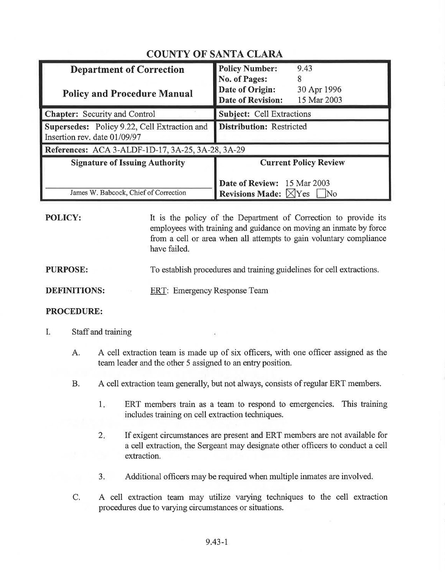| <b>Department of Correction</b><br><b>Policy and Procedure Manual</b>        | <b>Policy Number:</b><br>9.43<br><b>No. of Pages:</b><br>8<br>Date of Origin:<br>30 Apr 1996<br><b>Date of Revision:</b><br>15 Mar 2003 |
|------------------------------------------------------------------------------|-----------------------------------------------------------------------------------------------------------------------------------------|
| <b>Chapter:</b> Security and Control                                         | <b>Subject: Cell Extractions</b>                                                                                                        |
| Supersedes: Policy 9.22, Cell Extraction and<br>Insertion rev. date 01/09/97 | <b>Distribution: Restricted</b>                                                                                                         |
| References: ACA 3-ALDF-1D-17, 3A-25, 3A-28, 3A-29                            |                                                                                                                                         |
| <b>Signature of Issuing Authority</b>                                        | <b>Current Policy Review</b>                                                                                                            |
| James W. Babcock, Chief of Correction                                        | <b>Date of Review:</b> 15 Mar 2003<br><b>Revisions Made:</b> $\boxtimes$ Yes<br>$\overline{\rm No}$                                     |

## COUNTY OF SANTA CLARA

POLICY:

It is the policy of the Department of Correction to provide its employees with training and guidance on moving an inmate by force from a cell or area when all attempts to gain voluntary compliance have failed.

## PURPOSE: To establish procedures and training guidelines for cell extractions.

DEFINITIONS: ERT: Emergency Response Team

## PROCEDURE:

- I. Staff and training
	- A. A cell extraction team is made up of six officers, with one officer assigned as the team leader and the other 5 assigned to an entryposition.
	- B. A cell extraction team generally, but not always, consists of regular ERT members.
		- ERT members train as a team to respond to emergencies. This training includes training on cell extraction techniques.  $1<sub>n</sub>$
		- 2 If exigent circumstances are present and ERT members are not available for a cell extraction, the Sergeant may designate other officers to conduct a cell extraction.
		- 3. Additional officers may be required when multiple inmates are involved.
	- A cell extraction team may utilize varying techniques to the cell extraction procedures due to varying circumstances or situations. C.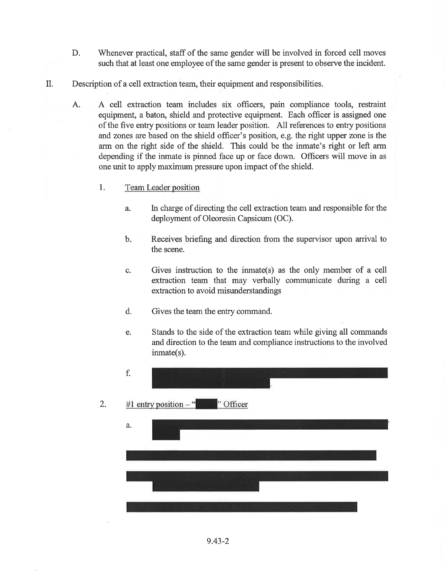- Whenever practical, staff of the same gender will be involved in forced cell moves such that at least one employee of the same gender is present to observe the incident. D.
- II. Description of a cell extraction team, their equipment and responsibilities.
	- A. A cell extraction team includes six officers, pain compliance tools, restraint equipment, a baton, shield and protective equipment. Each officer is assigned one of the five entry positions or team leader position. All references to entry positions and zones are based on the shield officer's position, e.g. the right upper zone is the arm on the right side of the shield. This could be the inmate's right or left arm depending if the inmate is pinned face up or face down. Officers will move in as one unit to apply maximum pressure upon impact of the shield.
		- 1. Team Leader position
			- ln charge of directing the cell extraction team and responsible for the deployment of Oleoresin Capsicum (OC). a.
			- Receives briefing and direction from the supervisor upon arrival to the scene.  $<sub>b</sub>$ .</sub>
			- Gives instruction to the inmate(s) as the only member of a cell extraction team that may verbally communicate during a cell extraction to avoid misunderstandings c.
			- d. Gives the team the entry command.
			- Stands to the side of the extraction team while giving all commands and direction to the team and compliance instructions to the involved inmate(s). e.

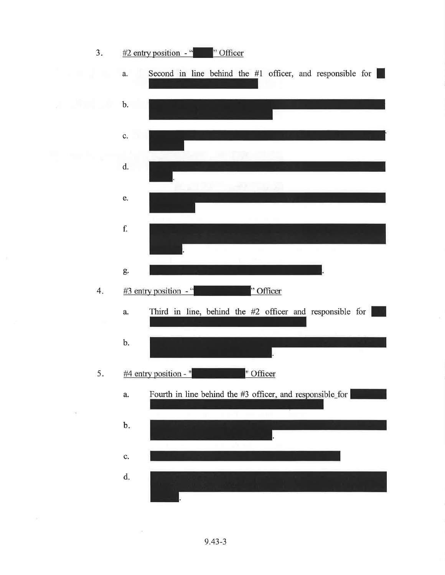

9.43-3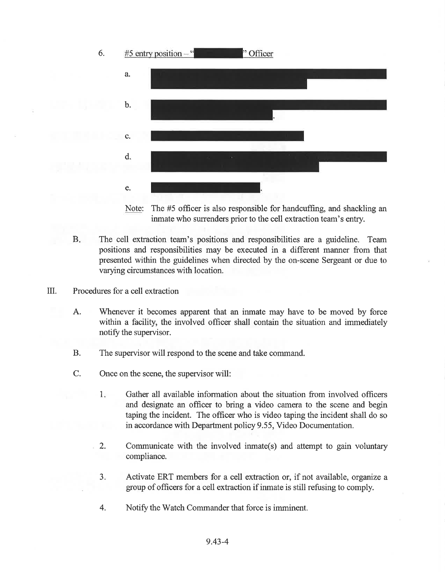

Note: The #5 officer is also responsible for handcuffing, and shackling an inmate who surrenders prior to the cell extraction team's entry.

- The cell extraction team's positions and responsibilities are a guideline. Team positions and responsibilities may be executed in a different manner from that presented within the guidelines when directed by the on-scene Sergeant or due to varying circumstances with location. B.
- ilI. Procedures for a cell extraction
	- A. Whenever it becomes apparent that an inmate may have to be moved by force within a facility, the involved officer shall contain the situation and immediately notify the supervisor.
	- B. The supervisor will respond to the scene and take command.
	- C. Once on the scene, the supervisor will:
		- <sup>1</sup> Gather all available information about the situation from involved officers and designate an officer to bring a video camera to the scene and begin taping the incident. The officer who is video taping the incident shall do so in accordance with Department policy 9.55, Video Documentation.
		- Communicate with the involved inmate(s) and attempt to gain voluntary compliance. 2.
		- Activate ERT members for a cell extraction or, if not available, organize a goup of officers for a cell extraction if inmate is still refusing to comply. a J
		- 4. Notify the Watch Commander that force is imminent.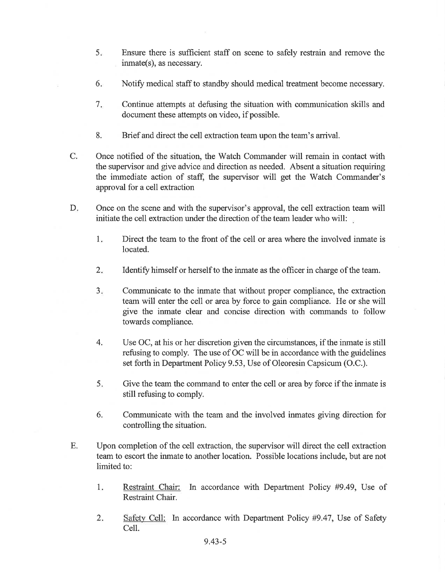- <sup>5</sup> Ensure there is sufficient staff on scene to safely restrain and remove the inmate(s), as necessary.
- Notify medical staff to standby should medical treatment become necessary. 6
- Continue attempts at defusing the situation with communication skills and document these attempts on video, if possible.  $7.$
- 8. Brief and direct the cell extraction team upon the team's arrival.
- Once notified of the situation, the Watch Commander will remain in contact with the supervisor and give advice and direction as needed. Absent a situation requiring the immediate action of staff, the supervisor will get the Watch Commander's approval for a cell extraction C.
- Once on the scene and with the supervisor's approval, the cell extraction team will initiate the cell extraction under the direction of the team leader who will: D.
	- 1. Direct the team to the front of the cell or area where the involved inmate is located.
	- Identify himself or herself to the inmate as the officer in charge of the team.  $2.$
	- Communicate to the inmate that without proper compliance, the extraction team will enter the cell or area by force to gain compliance. He or she will give the inmate clear and concise direction with commands to follow towards compliance.  $3.$
	- Use OC, at his or her discretion given the circumstances, if the inmate is still refusing to comply. The use of OC will be in accordance with the guidelines set forth in Department Policy 9.53, Use of Oleoresin Capsicum (O.C.). 4.
	- Give the team the command to enter the cell or area by force if the inmate is still refusing to comply. 5
	- 6. Communicate with the team and the involved inmates giving direction for controlling the situation.
- Upon completion of the cell extraction, the supervisor will direct the cell extraction team to escort the inmate to another location. Possible locations include, but are not limited to: E.
	- Restraint Chair: In accordance with Department Policy #9.49, Use of Restraint Chair. 1
	- Safety Cell: In accordance with Department Policy #9.47, Use of Safety Cell. 2.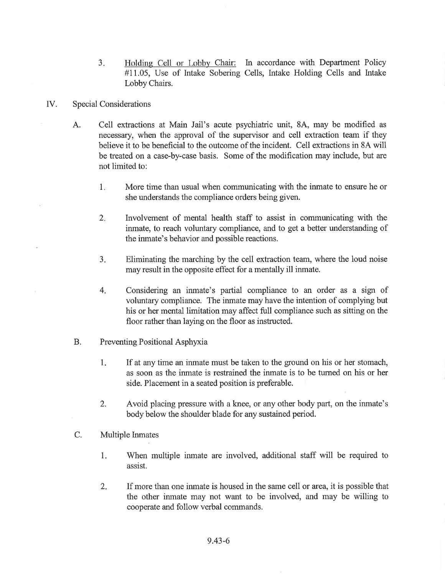3. Holding Cell or Lobby Chair: In accordance with Department Policy #11.05, Use of Intake Sobering Cells, Intake Holding Cells and lntake Lobby Chairs.

## [V. Special Considerations

- A. Cell extractions at Main Jail's acute psychiatric unit, 8A, may be modified as necessary, when the approval of the supervisor and cell extraction team if they believe it to be beneficial to the outcome of the incident. Cell extractions in 8A will be treated on a case-by-case basis. Some of the modification may include, but are not limited to:
	- More time than usual when communicating with the inmate to ensure he or she understands the compliance orders being given.  $1<sub>x</sub>$
	- lnvolvement of mental health staff to assist in communicating with the inmate, to reach voluntary compliance, and to get a better understanding of the inmate's behavior and possible reactions.  $2.$
	- Eliminating the marching by the cell extraction team, where the loud noise may result in the opposite effect for a mentally ill inmate.  $3.$
	- Considering an inmate's partial compliance to an order as a sign of voluntary compliance. The inmate may have the intention of complying but his or her mental limitation may affect full compliance such as sitting on the floor rather than laying on the floor as instructed.  $4.$
- B. Preventing Positional Asphyxia
	- 1. If at any time an inmate must be taken to the ground on his or her stomach, as soon as the inmate is restrained the inmate is to be turned on his or her side. Placement in a seated position is preferable.
	- 2. Avoid placing pressure with a knee, or any other body part, on the inmate's body below the shoulder blade for any sustained period.
- C. Multiple Inmates
	- 1. When multiple inmate are involved, additional staff will be required to assist.
	- 2. If more than one inmate is housed in the same cell or area, it is possible that the other inmate may not want to be involved, and may be willing to cooperate and follow verbal commands.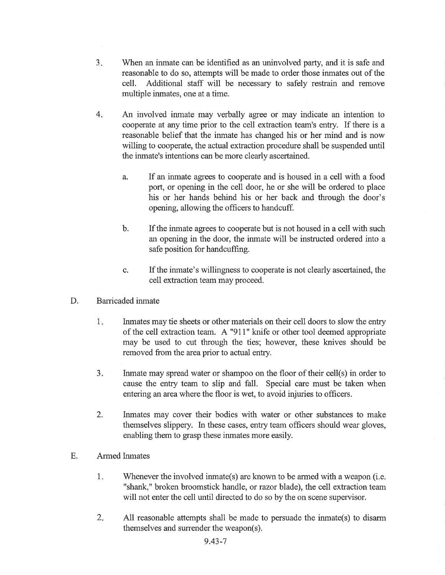- $3<sub>1</sub>$ When an inmate can be identified as an uninvolved party, and it is safe and reasonable to do so, attempts will be made to order those inmates out of the cell. Additional staff will be necessary to safely restrain and remove multiple inmates, one at a time.
- $4<sub>1</sub>$ An involved inmate may verbally agree or may indicate an intention to cooperate at any time prior to the cell extraction team's entry. If there is a reasonable belief that the inmate has changed his or her mind and is now willing to cooperate, the actual extraction procedure shall be suspended until the inmate's intentions can be more clearly ascertained.
	- a. If an inmate agrees to cooperate and is housed in a cell with a food port, or opening in the cell door, he or she will be ordered to place his or her hands behind his or her back and through the door's opening, allowing the officers to handcuff.
	- b. If the inmate agrees to cooperate but is not housed in a cell with such an opening in the door, the inmate will be instructed ordered into <sup>a</sup> safe position for handcuffing.
	- If the inmate's willingness to cooperate is not clearly ascertained, the cell extraction team may proceed. c.
- D. Barricaded inmate
	- $1<sup>5</sup>$ lnmates may tie sheets or other materials on their cell doors to slow the entry of the cell extraction team. A "911" knife or other tool deemed appropriate may be used to cut through the ties; however, these knives should be removed from the area prior to actual entry.
	- $3.$ Inmate may spread water or shampoo on the floor of their cell(s) in order to cause the entry team to slip and fall. Special care must be taken when entering an area where the floor is wet, to avoid injuries to officers.
	- 2. Inmates may cover their bodies with water or other substances to make themselves slippery. ln these cases, entry team officers should wear gloves, enabling them to grasp these inmates more easily.
- E. Armed Inmates
	- 1 Whenever the involved inmate(s) are known to be armed with a weapon (i.e. "shank," broken broomstick handle, or razor blade), the cell extraction team will not enter the cell until directed to do so by the on scene supervisor.
	- All reasonable attempts shall be made to persuade the inmate(s) to disarm themselves and surrender the weapon(s). 2.